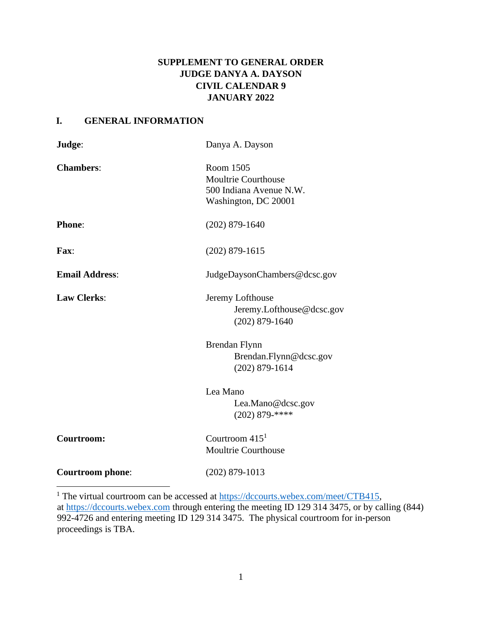# **SUPPLEMENT TO GENERAL ORDER JUDGE DANYA A. DAYSON CIVIL CALENDAR 9 JANUARY 2022**

# **I. GENERAL INFORMATION**

| Judge:                  | Danya A. Dayson                                                                            |
|-------------------------|--------------------------------------------------------------------------------------------|
| <b>Chambers:</b>        | Room 1505<br><b>Moultrie Courthouse</b><br>500 Indiana Avenue N.W.<br>Washington, DC 20001 |
| <b>Phone:</b>           | $(202)$ 879-1640                                                                           |
| Fax:                    | $(202)$ 879-1615                                                                           |
| <b>Email Address:</b>   | JudgeDaysonChambers@dcsc.gov                                                               |
| <b>Law Clerks:</b>      | Jeremy Lofthouse<br>Jeremy.Lofthouse@dcsc.gov<br>$(202)$ 879-1640                          |
|                         | Brendan Flynn<br>Brendan.Flynn@dcsc.gov<br>$(202)$ 879-1614                                |
|                         | Lea Mano<br>Lea.Mano@dcsc.gov<br>$(202)$ 879-****                                          |
| Courtroom:              | Courtroom $4151$<br>Moultrie Courthouse                                                    |
| <b>Courtroom</b> phone: | $(202)$ 879-1013                                                                           |

<sup>1</sup> The virtual courtroom can be accessed at [https://dccourts.webex.com/meet/CTB415,](https://dccourts.webex.com/meet/CTB415) at [https://dccourts.webex.com](https://dccourts.webex.com/) through entering the meeting ID 129 314 3475, or by calling (844) 992-4726 and entering meeting ID 129 314 3475. The physical courtroom for in-person proceedings is TBA.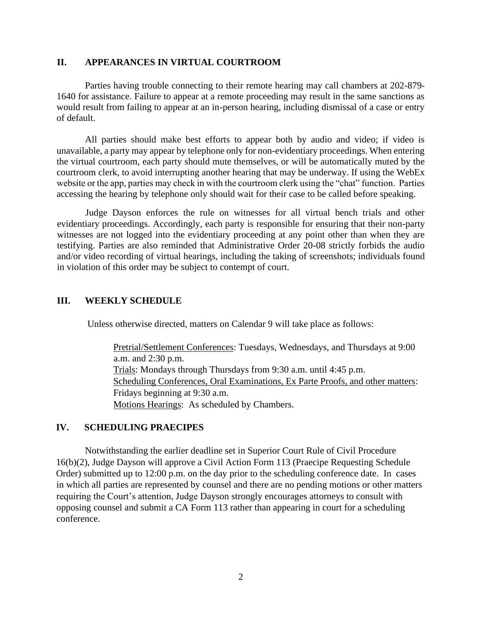## **II. APPEARANCES IN VIRTUAL COURTROOM**

Parties having trouble connecting to their remote hearing may call chambers at 202-879- 1640 for assistance. Failure to appear at a remote proceeding may result in the same sanctions as would result from failing to appear at an in-person hearing, including dismissal of a case or entry of default.

All parties should make best efforts to appear both by audio and video; if video is unavailable, a party may appear by telephone only for non-evidentiary proceedings. When entering the virtual courtroom, each party should mute themselves, or will be automatically muted by the courtroom clerk, to avoid interrupting another hearing that may be underway. If using the WebEx website or the app, parties may check in with the courtroom clerk using the "chat" function. Parties accessing the hearing by telephone only should wait for their case to be called before speaking.

Judge Dayson enforces the rule on witnesses for all virtual bench trials and other evidentiary proceedings. Accordingly, each party is responsible for ensuring that their non-party witnesses are not logged into the evidentiary proceeding at any point other than when they are testifying. Parties are also reminded that Administrative Order 20-08 strictly forbids the audio and/or video recording of virtual hearings, including the taking of screenshots; individuals found in violation of this order may be subject to contempt of court.

# **III. WEEKLY SCHEDULE**

Unless otherwise directed, matters on Calendar 9 will take place as follows:

Pretrial/Settlement Conferences: Tuesdays, Wednesdays, and Thursdays at 9:00 a.m. and 2:30 p.m. Trials: Mondays through Thursdays from 9:30 a.m. until 4:45 p.m. Scheduling Conferences, Oral Examinations, Ex Parte Proofs, and other matters: Fridays beginning at 9:30 a.m. Motions Hearings: As scheduled by Chambers.

#### **IV. SCHEDULING PRAECIPES**

Notwithstanding the earlier deadline set in Superior Court Rule of Civil Procedure 16(b)(2), Judge Dayson will approve a Civil Action Form 113 (Praecipe Requesting Schedule Order) submitted up to 12:00 p.m. on the day prior to the scheduling conference date. In cases in which all parties are represented by counsel and there are no pending motions or other matters requiring the Court's attention, Judge Dayson strongly encourages attorneys to consult with opposing counsel and submit a CA Form 113 rather than appearing in court for a scheduling conference.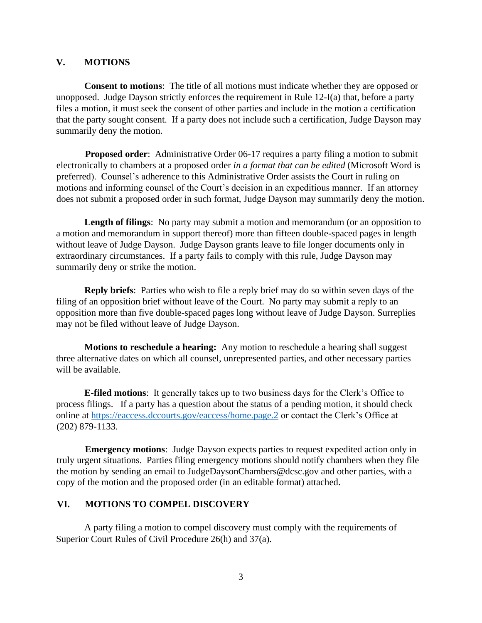## **V. MOTIONS**

**Consent to motions**: The title of all motions must indicate whether they are opposed or unopposed. Judge Dayson strictly enforces the requirement in Rule 12-I(a) that, before a party files a motion, it must seek the consent of other parties and include in the motion a certification that the party sought consent. If a party does not include such a certification, Judge Dayson may summarily deny the motion.

**Proposed order:** Administrative Order 06-17 requires a party filing a motion to submit electronically to chambers at a proposed order *in a format that can be edited* (Microsoft Word is preferred). Counsel's adherence to this Administrative Order assists the Court in ruling on motions and informing counsel of the Court's decision in an expeditious manner. If an attorney does not submit a proposed order in such format, Judge Dayson may summarily deny the motion.

**Length of filings**: No party may submit a motion and memorandum (or an opposition to a motion and memorandum in support thereof) more than fifteen double-spaced pages in length without leave of Judge Dayson. Judge Dayson grants leave to file longer documents only in extraordinary circumstances. If a party fails to comply with this rule, Judge Dayson may summarily deny or strike the motion.

**Reply briefs**: Parties who wish to file a reply brief may do so within seven days of the filing of an opposition brief without leave of the Court. No party may submit a reply to an opposition more than five double-spaced pages long without leave of Judge Dayson. Surreplies may not be filed without leave of Judge Dayson.

**Motions to reschedule a hearing:** Any motion to reschedule a hearing shall suggest three alternative dates on which all counsel, unrepresented parties, and other necessary parties will be available.

**E-filed motions**: It generally takes up to two business days for the Clerk's Office to process filings. If a party has a question about the status of a pending motion, it should check online at<https://eaccess.dccourts.gov/eaccess/home.page.2> [o](http://www.dccourts.gov/pa)r contact the Clerk's Office at (202) 879-1133.

**Emergency motions**: Judge Dayson expects parties to request expedited action only in truly urgent situations. Parties filing emergency motions should notify chambers when they file the motion by sending an email to JudgeDaysonChambers@dcsc.gov and other parties, with a copy of the motion and the proposed order (in an editable format) attached.

# **VI. MOTIONS TO COMPEL DISCOVERY**

A party filing a motion to compel discovery must comply with the requirements of Superior Court Rules of Civil Procedure 26(h) and 37(a).